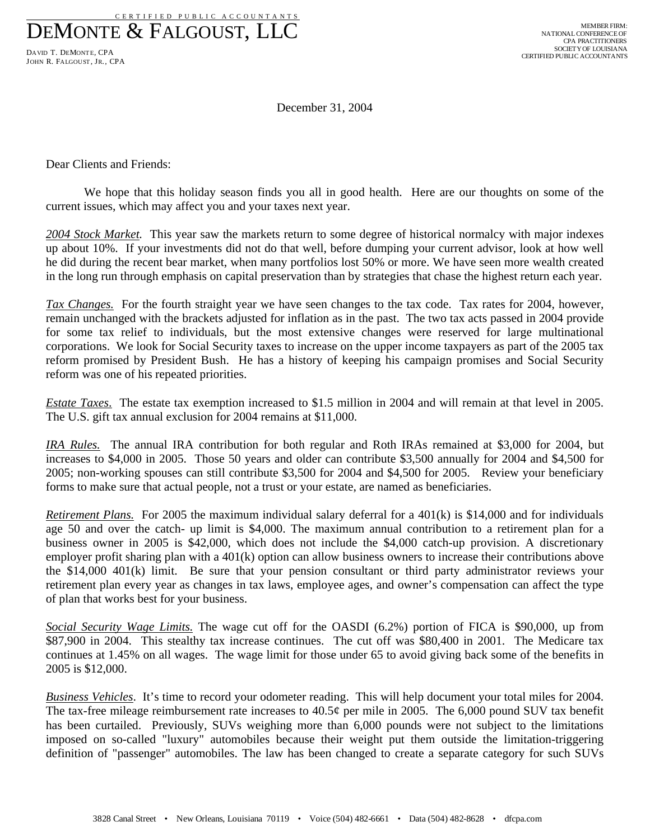C E R T I F I E D P U B L I C A C C O U N T A N T S DEMONTE & FALGOUST, LLC

DAVID T. DEMONTE, CPA JOHN R. FALGOUST, JR., CPA

December 31, 2004

Dear Clients and Friends:

We hope that this holiday season finds you all in good health. Here are our thoughts on some of the current issues, which may affect you and your taxes next year.

*2004 Stock Market.* This year saw the markets return to some degree of historical normalcy with major indexes up about 10%. If your investments did not do that well, before dumping your current advisor, look at how well he did during the recent bear market, when many portfolios lost 50% or more. We have seen more wealth created in the long run through emphasis on capital preservation than by strategies that chase the highest return each year.

*Tax Changes.* For the fourth straight year we have seen changes to the tax code. Tax rates for 2004, however, remain unchanged with the brackets adjusted for inflation as in the past. The two tax acts passed in 2004 provide for some tax relief to individuals, but the most extensive changes were reserved for large multinational corporations. We look for Social Security taxes to increase on the upper income taxpayers as part of the 2005 tax reform promised by President Bush. He has a history of keeping his campaign promises and Social Security reform was one of his repeated priorities.

*Estate Taxes*. The estate tax exemption increased to \$1.5 million in 2004 and will remain at that level in 2005. The U.S. gift tax annual exclusion for 2004 remains at \$11,000.

*IRA Rules.* The annual IRA contribution for both regular and Roth IRAs remained at \$3,000 for 2004, but increases to \$4,000 in 2005. Those 50 years and older can contribute \$3,500 annually for 2004 and \$4,500 for 2005; non-working spouses can still contribute \$3,500 for 2004 and \$4,500 for 2005. Review your beneficiary forms to make sure that actual people, not a trust or your estate, are named as beneficiaries.

*Retirement Plans.* For 2005 the maximum individual salary deferral for a 401(k) is \$14,000 and for individuals age 50 and over the catch- up limit is \$4,000. The maximum annual contribution to a retirement plan for a business owner in 2005 is \$42,000, which does not include the \$4,000 catch-up provision. A discretionary employer profit sharing plan with a 401(k) option can allow business owners to increase their contributions above the \$14,000 401(k) limit. Be sure that your pension consultant or third party administrator reviews your retirement plan every year as changes in tax laws, employee ages, and owner's compensation can affect the type of plan that works best for your business.

*Social Security Wage Limits.* The wage cut off for the OASDI (6.2%) portion of FICA is \$90,000, up from \$87,900 in 2004. This stealthy tax increase continues. The cut off was \$80,400 in 2001. The Medicare tax continues at 1.45% on all wages. The wage limit for those under 65 to avoid giving back some of the benefits in 2005 is \$12,000.

*Business Vehicles*. It's time to record your odometer reading. This will help document your total miles for 2004. The tax-free mileage reimbursement rate increases to 40.5¢ per mile in 2005. The 6,000 pound SUV tax benefit has been curtailed. Previously, SUVs weighing more than 6,000 pounds were not subject to the limitations imposed on so-called "luxury" automobiles because their weight put them outside the limitation-triggering definition of "passenger" automobiles. The law has been changed to create a separate category for such SUVs